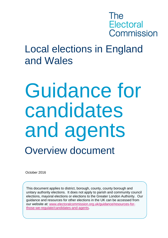## The **Electoral** Commission

## Local elections in England and Wales

# Guidance for candidates and agents Overview document

October 2016

This document applies to district, borough, county, county borough and unitary authority elections. It does not apply to parish and community council elections, mayoral elections or elections to the Greater London Authority. Our guidance and resources for other elections in the UK can be accessed from our website at: [www.electoralcommission.org.uk/guidance/resources-for](http://www.electoralcommission.org.uk/guidance/resources-for-those-we-regulate/candidates-and-agents)[those-we-regulate/candidates-and-agents.](http://www.electoralcommission.org.uk/guidance/resources-for-those-we-regulate/candidates-and-agents)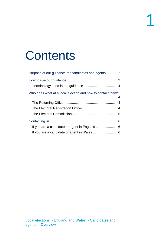## **Contents**

| Who does what at a local election and how to contact them? |
|------------------------------------------------------------|
|                                                            |
|                                                            |
|                                                            |
|                                                            |
|                                                            |
|                                                            |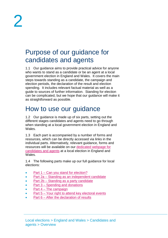## <span id="page-2-0"></span>Purpose of our guidance for candidates and agents

1.1 Our guidance aims to provide practical advice for anyone who wants to stand as a candidate or be an agent at a local government election in England and Wales. It covers the main steps towards standing as a candidate, the campaign and election periods, the declaration of the result and election spending. It includes relevant factual material as well as a guide to sources of further information. Standing for election can be complicated, but we hope that our guidance will make it as straightforward as possible.

## <span id="page-2-1"></span>How to use our guidance

1.2 Our guidance is made up of six parts, setting out the different stages candidates and agents need to go through when standing at a local government election in England and Wales.

1.3 Each part is accompanied by a number of forms and resources, which can be directly accessed via links in the individual parts. Alternatively, relevant guidance, forms and resources will be available on our [dedicated webpage](http://www.electoralcommission.org.uk/guidance/resources-for-those-we-regulate/candidates-and-agents/local-elections-in-england-and-wales) for [candidates and agents](http://www.electoralcommission.org.uk/guidance/resources-for-those-we-regulate/candidates-and-agents/local-elections-in-england-and-wales) at a local election in England and Wales.

1.4 The following parts make up our full guidance for local elections:

- Part 1 [Can you stand for election?](http://www.electoralcommission.org.uk/__data/assets/pdf_file/0007/141784/Part-1-Can-you-stand-for-election-LGEW.pdf)
- Part 2a [Standing as an independent candidate](http://www.electoralcommission.org.uk/__data/assets/pdf_file/0008/141785/Part-2a-Standing-as-an-independent-candidate-LGEW.pdf)
- Part 2b [Standing as a party candidate](http://www.electoralcommission.org.uk/__data/assets/pdf_file/0010/141787/Part-2b-standing-as-a-party-candidate-LGEW.pdf)
- Part 3 [Spending and donations](http://www.electoralcommission.org.uk/__data/assets/pdf_file/0005/141773/ca-part-3-locals-ew.pdf)
- $\bullet$  Part  $4$  [The campaign](http://www.electoralcommission.org.uk/__data/assets/pdf_file/0011/141788/Part-4-The-campaign-LGEW.pdf)
- Part 5 [Your right to attend key electoral events](http://www.electoralcommission.org.uk/__data/assets/pdf_file/0003/141789/Part-5-Your-right-to-attend-key-electoral-events-LGEW.pdf)
- Part  $6$  [After the declaration of results](http://www.electoralcommission.org.uk/__data/assets/pdf_file/0005/141791/Part-6-After-the-declaration-of-results-LGEW.pdf)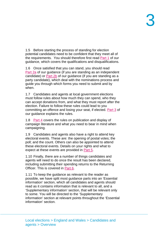1.5 Before starting the process of standing for election potential candidates need to be confident that they meet all of the requirements. You should therefore first read [Part 1](http://www.electoralcommission.org.uk/__data/assets/pdf_file/0007/141784/Part-1-Can-you-stand-for-election-LGEW.pdf) of our guidance, which covers the qualifications and disqualifications.

1.6 Once satisfied that you can stand, you should read [Part](http://www.electoralcommission.org.uk/__data/assets/pdf_file/0008/141785/Part-2a-Standing-as-an-independent-candidate-LGEW.pdf) 2a of our guidance (if you are standing as an independent candidate) or [Part 2b](http://www.electoralcommission.org.uk/__data/assets/pdf_file/0010/141787/Part-2b-standing-as-a-party-candidate-LGEW.pdf) of our guidance (if you are standing as a party candidate), which deal with the nominations process and guide you through which forms you need to submit and by when.

1.7 Candidates and agents at local government elections must follow rules about how much they can spend, who they can accept donations from, and what they must report after the election. Failure to follow these rules could lead to you committing an offence and losing your seat, if elected. [Part 3](http://www.electoralcommission.org.uk/__data/assets/pdf_file/0005/141773/ca-part-3-locals-ew.pdf) of our guidance explains the rules.

1.8 [Part 4](http://www.electoralcommission.org.uk/__data/assets/pdf_file/0011/141788/Part-4-The-campaign-LGEW.pdf) covers the rules on publication and display of campaign literature and what you need to bear in mind when campaigning.

1.9 Candidates and agents also have a right to attend key electoral events. These are: the opening of postal votes; the poll; and the count. Others can also be appointed to attend these electoral events. Details on your rights and what to expect at these events are provided in [Part 5.](http://www.electoralcommission.org.uk/__data/assets/pdf_file/0003/141789/Part-5-Your-right-to-attend-key-electoral-events-LGEW.pdf)

1.10 Finally, there are a number of things candidates and agents will need to do once the result has been declared, including submitting their spending returns to the Returning Officer. This is covered in [Part 6.](http://www.electoralcommission.org.uk/__data/assets/pdf_file/0005/141791/Part-6-After-the-declaration-of-results-LGEW.pdf)

1.11 To keep the guidance as relevant to the reader as possible, we have split most guidance parts into an 'Essential information' section, which all candidates and agents should read as it contains information that is relevant to all, and a 'Supplementary information' section, that will be relevant only to some. You will be directed to the 'Supplementary information' section at relevant points throughout the 'Essential information' section.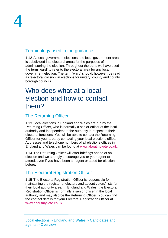#### <span id="page-4-0"></span>Terminology used in the guidance

1.12 At local government elections, the local government area is subdivided into electoral areas for the purposes of administering the election. Throughout the parts we have used the term 'ward' to refer to the electoral area for any local government election. The term 'ward' should, however, be read as 'electoral division' in elections for unitary, county and county borough councils.

### <span id="page-4-1"></span>Who does what at a local election and how to contact them?

#### <span id="page-4-2"></span>The Returning Officer

1.13 Local elections in England and Wales are run by the Returning Officer, who is normally a senior officer of the local authority and independent of the authority in respect of their electoral functions. You will be able to contact the Returning Officer for your area by contacting your local elections office. Addresses and telephone numbers of all elections offices in England and Wales can be found at [www.aboutmyvote.co.uk.](http://www.aboutmyvote.co.uk/)

1.14 The Returning Officer will offer briefings ahead of an election and we strongly encourage you or your agent to attend, even if you have been an agent or stood for election before.

#### <span id="page-4-3"></span>The Electoral Registration Officer

1.15 The Electoral Registration Officer is responsible for maintaining the register of electors and absent voters' lists for their local authority area. In England and Wales, the Electoral Registration Officer is normally a senior officer in the local authority and may also be the Returning Officer. You can find the contact details for your Electoral Registration Officer at [www.aboutmyvote.co.uk.](http://www.aboutmyvote.co.uk/)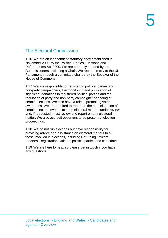### <span id="page-5-0"></span>The Electoral Commission

1.16 We are an independent statutory body established in November 2000 by the Political Parties, Elections and Referendums Act 2000. We are currently headed by ten Commissioners, including a Chair. We report directly to the UK Parliament through a committee chaired by the Speaker of the House of Commons.

1.17 We are responsible for registering political parties and non-party campaigners, the monitoring and publication of significant donations to registered political parties and the regulation of party and non-party campaigner spending at certain elections. We also have a role in promoting voter awareness. We are required to report on the administration of certain electoral events, to keep electoral matters under review and, if requested, must review and report on any electoral matter. We also accredit observers to be present at election proceedings.

1.18 We do not run elections but have responsibility for providing advice and assistance on electoral matters to all those involved in elections, including Returning Officers, Electoral Registration Officers, political parties and candidates.

1.19 We are here to help, so please get in touch if you have any questions.